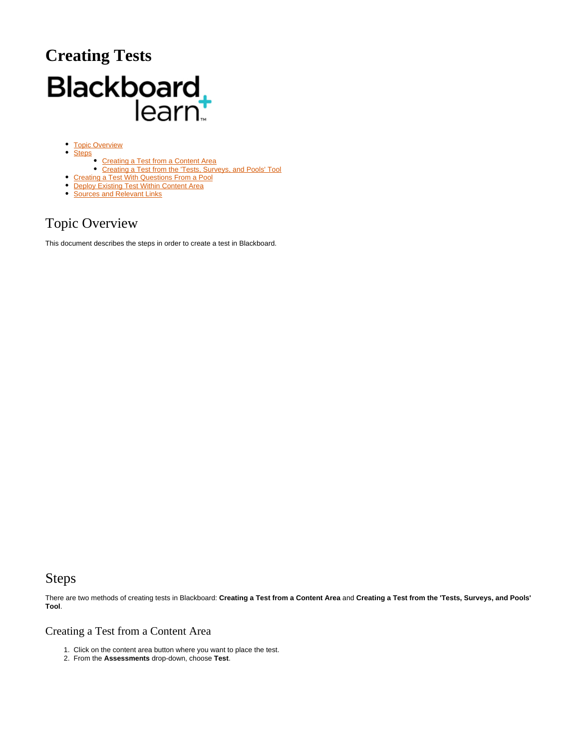# **Creating Tests** Blackboard<br>learnt

- [Topic Overview](#page-0-0)
- $\bullet$ **[Steps](#page-0-1)** 
	- [Creating a Test from a Content Area](#page-0-2)
	- [Creating a Test from the 'Tests, Surveys, and Pools' Tool](#page-2-0)
- [Creating a Test With Questions From a Pool](#page-2-1)
- [Deploy Existing Test Within Content Area](#page-3-0) **[Sources and Relevant Links](#page-4-0)**
- 

## <span id="page-0-0"></span>Topic Overview

This document describes the steps in order to create a test in Blackboard.

### <span id="page-0-1"></span>Steps

There are two methods of creating tests in Blackboard: **Creating a Test from a Content Area** and **Creating a Test from the 'Tests, Surveys, and Pools' Tool**.

#### <span id="page-0-2"></span>Creating a Test from a Content Area

- 1. Click on the content area button where you want to place the test.
- 2. From the **Assessments** drop-down, choose **Test**.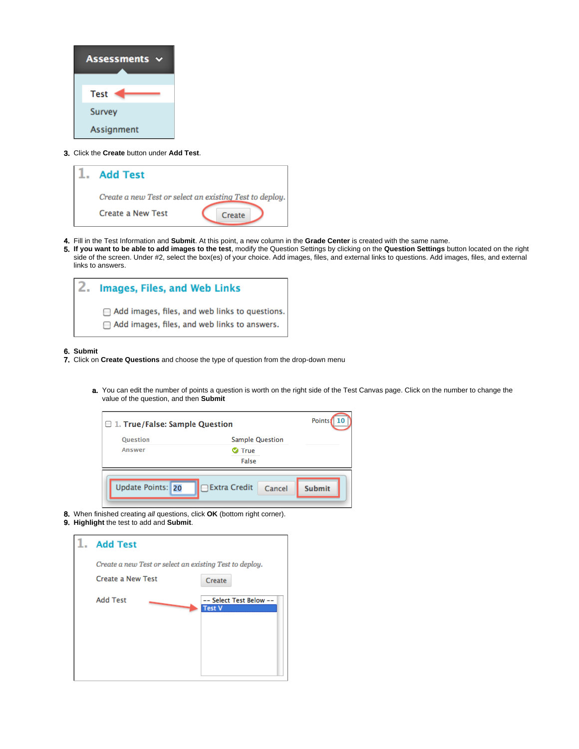| <b>Assessments</b> |
|--------------------|
| <b>Test</b>        |
| <b>Survey</b>      |
| Assignment         |

3. Click the **Create** button under **Add Test**.

| <b>Add Test</b>                                         |
|---------------------------------------------------------|
| Create a new Test or select an existing Test to deploy. |
| <b>Create a New Test</b><br>Create                      |

- 4. Fill in the Test Information and **Submit**. At this point, a new column in the **Grade Center** is created with the same name.
- 5. **If you want to be able to add images to the test**, modify the Question Settings by clicking on the **Question Settings** button located on the right side of the screen. Under #2, select the box(es) of your choice. Add images, files, and external links to questions. Add images, files, and external links to answers.

| <b>Images, Files, and Web Links</b>                                                                         |  |  |  |
|-------------------------------------------------------------------------------------------------------------|--|--|--|
| $\Box$ Add images, files, and web links to questions<br>$\Box$ Add images, files, and web links to answers. |  |  |  |

6. **Submit**

- 7. Click on **Create Questions** and choose the type of question from the drop-down menu
	- a. You can edit the number of points a question is worth on the right side of the Test Canvas page. Click on the number to change the value of the question, and then **Submit**

| <b>Ouestion</b> | <b>Sample Question</b> |  |
|-----------------|------------------------|--|
| <b>Answer</b>   | True                   |  |
|                 | False                  |  |

- 8. When finished creating all questions, click **OK** (bottom right corner).
- 9. **Highlight** the test to add and **Submit**.

| <b>Add Test</b>                                         |                                          |
|---------------------------------------------------------|------------------------------------------|
| Create a new Test or select an existing Test to deploy. |                                          |
| <b>Create a New Test</b>                                | Create                                   |
| <b>Add Test</b>                                         | -- Select Test Below --<br><b>Test V</b> |
|                                                         |                                          |
|                                                         |                                          |
|                                                         |                                          |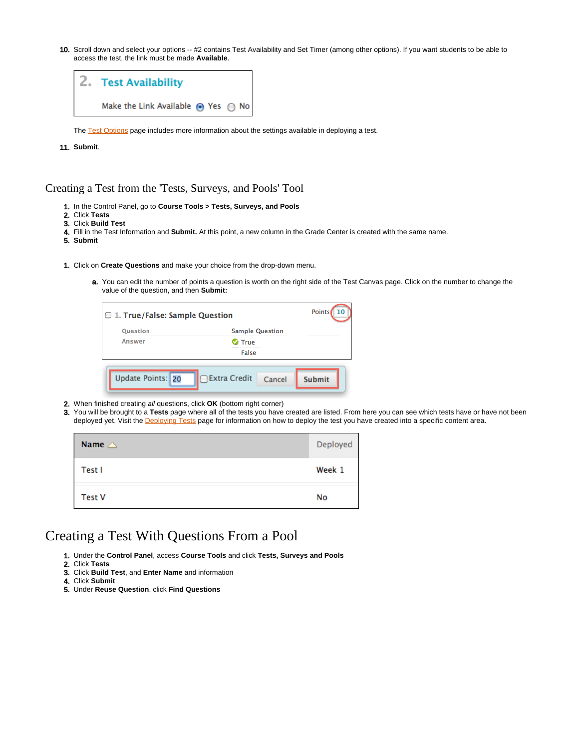10. Scroll down and select your options -- #2 contains Test Availability and Set Timer (among other options). If you want students to be able to access the test, the link must be made **Available**.



The [Test Options](https://answers.syr.edu/x/kQISAg) page includes more information about the settings available in deploying a test.

11. **Submit**.

#### <span id="page-2-0"></span>Creating a Test from the 'Tests, Surveys, and Pools' Tool

- 1. In the Control Panel, go to **Course Tools > Tests, Surveys, and Pools**
- 2. Click **Tests**
- 3. Click **Build Test**
- 4. Fill in the Test Information and **Submit.** At this point, a new column in the Grade Center is created with the same name.
- 5. **Submit**
- 1. Click on **Create Questions** and make your choice from the drop-down menu.
	- a. You can edit the number of points a question is worth on the right side of the Test Canvas page. Click on the number to change the value of the question, and then **Submit:**

| $\Box$ 1. True/False: Sample Question |                               | <b>Points</b><br><b>ACCEPTATIONS</b> |
|---------------------------------------|-------------------------------|--------------------------------------|
| <b>Ouestion</b>                       | <b>Sample Question</b>        |                                      |
| <b>Answer</b>                         | <b>True</b>                   |                                      |
|                                       | False                         |                                      |
| Update Points: 20                     | $\Box$ Extra Credit<br>Cancel | <b>Submit</b>                        |

- 2. When finished creating all questions, click **OK** (bottom right corner)
- 3. You will be brought to a **Tests** page where all of the tests you have created are listed. From here you can see which tests have or have not been deployed yet. Visit the [Deploying Tests](https://answers.syr.edu/display/blackboard01/Deploying+Surveys+and+Tests) page for information on how to deploy the test you have created into a specific content area.

| Name $\triangle$ | Deployed |
|------------------|----------|
| Test I           | Week 1   |
| <b>Test V</b>    | No       |

#### <span id="page-2-1"></span>Creating a Test With Questions From a Pool

- 1. Under the **Control Panel**, access **Course Tools** and click **Tests, Surveys and Pools**
- 2. Click **Tests**
- 3. Click **Build Test**, and **Enter Name** and information
- 4. Click **Submit**
- 5. Under **Reuse Question**, click **Find Questions**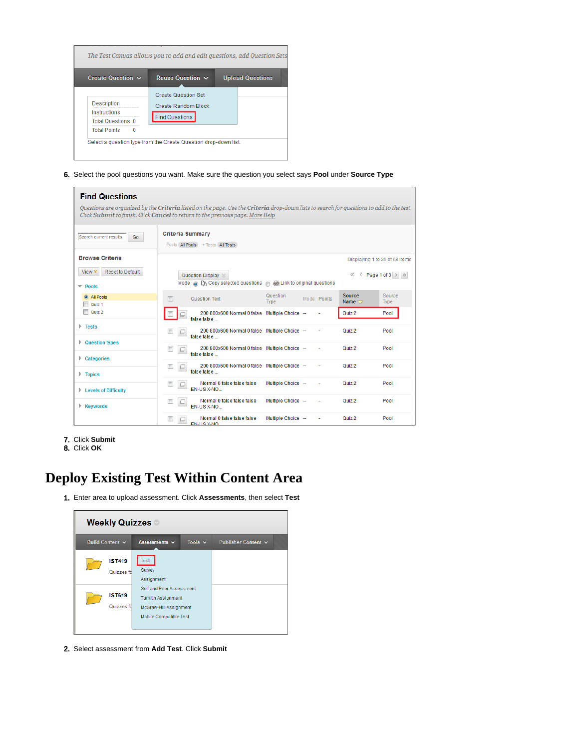

6. Select the pool questions you want. Make sure the question you select says **Pool** under **Source Type**

| <b>Find Questions</b><br>Questions are organized by the Criteria listed on the page. Use the Criteria drop-down lists to search for questions to add to the test.<br>Click Submit to finish. Click Cancel to return to the previous page. More Help |                                                                                                                      |                            |                                        |
|-----------------------------------------------------------------------------------------------------------------------------------------------------------------------------------------------------------------------------------------------------|----------------------------------------------------------------------------------------------------------------------|----------------------------|----------------------------------------|
| Search current results:<br>Go                                                                                                                                                                                                                       | <b>Criteria Summary</b><br>Pools All Pools + Tests All Tests                                                         |                            |                                        |
| <b>Browse Criteria</b>                                                                                                                                                                                                                              |                                                                                                                      |                            | Displaying 1 to 25 of 68 items         |
| Reset to Default<br>View $*$                                                                                                                                                                                                                        | Question Display $\otimes$<br>Mode @ $\Box$ Copy selected questions $\Diamond$ $\Diamond$ Link to original questions |                            | $\ll$ < Page 1 of 3 $>$ $\gg$          |
| $\overline{\phantom{a}}$ Pools<br><b>O</b> All Pools                                                                                                                                                                                                |                                                                                                                      | Question                   | Source<br>Source                       |
| Quiz <sub>1</sub>                                                                                                                                                                                                                                   | п<br>Question Text                                                                                                   | Mode Points<br><b>Type</b> | Name $\bigtriangledown$<br><b>Type</b> |
| m<br>Quiz 2                                                                                                                                                                                                                                         | 200 800x600 Normal 0 false Multiple Choice --<br>false false                                                         |                            | Quiz <sub>2</sub><br>Pool              |
| $\triangleright$ Tests                                                                                                                                                                                                                              | 200 800x600 Normal 0 false Multiple Choice --<br>o<br>false false                                                    |                            | Quiz <sub>2</sub><br>Pool              |
| <b>Question types</b>                                                                                                                                                                                                                               | 200 800x600 Normal 0 false Multiple Choice --<br>$\Box$<br>false false                                               |                            | Quiz 2<br>Pool                         |
| Categories<br>$\triangleright$ Topics                                                                                                                                                                                                               | 200 800x600 Normal 0 false Multiple Choice --<br>$\Box$<br>false false                                               |                            | Quiz 2<br>Pool                         |
| <b>Levels of Difficulty</b>                                                                                                                                                                                                                         | Normal 0 false false false<br>$\Box$<br>EN-US X-NO                                                                   | Multiple Choice -          | Pool<br>Quiz 2                         |
| <b>Keywords</b>                                                                                                                                                                                                                                     | Normal 0 false false false<br>$\Box$<br>EN-US X-NO.                                                                  | Multiple Choice --         | Quiz <sub>2</sub><br>Pool              |
|                                                                                                                                                                                                                                                     | Normal 0 false false false<br>o<br><b>EN-LIS X-NO</b>                                                                | Multiple Choice --         | Pool<br>Quiz 2                         |

- 7. Click **Submit**
- 8. Click **OK**

## <span id="page-3-0"></span>**Deploy Existing Test Within Content Area**

1. Enter area to upload assessment. Click **Assessments**, then select **Test**



2. Select assessment from **Add Test**. Click **Submit**